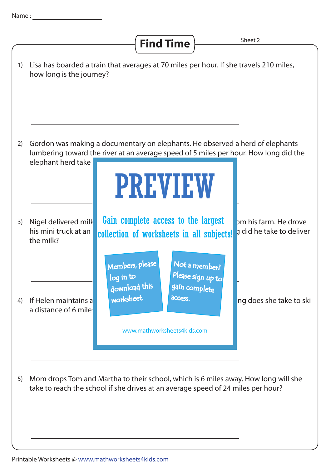